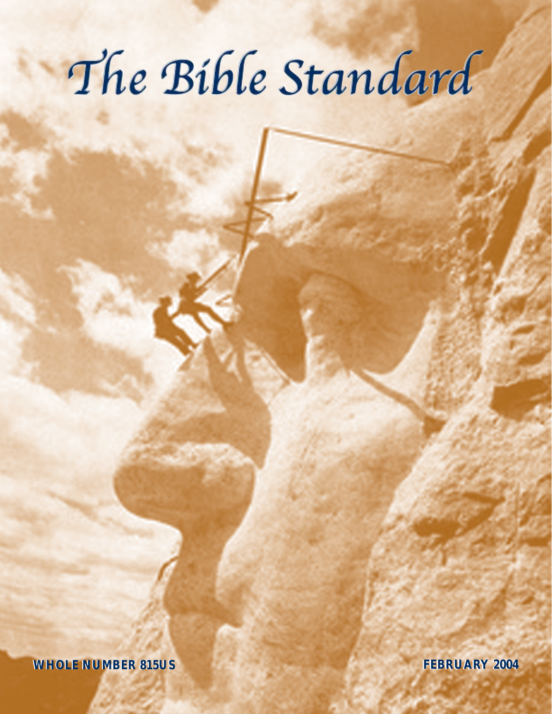# The Bible Standard

**WHOLE NUMBER 815US WHOLE NUMBER 815US FEBRUARY 2004 FEBRUARY 2004**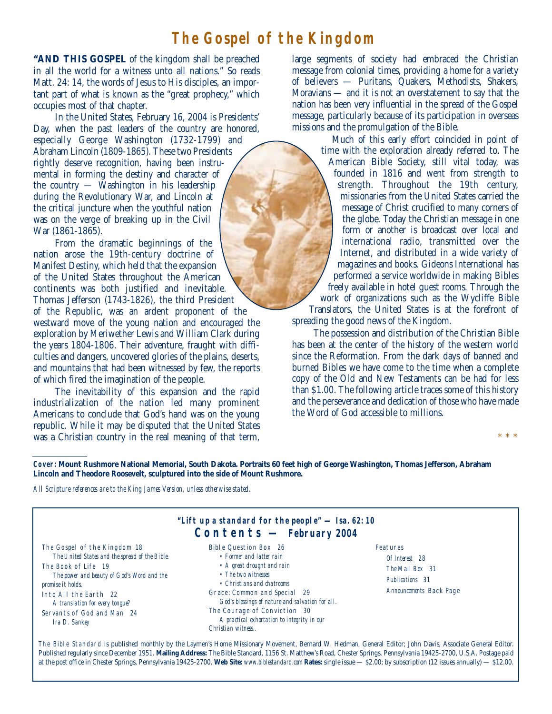# **The Gospel of the Kingdom**

**"AND THIS GOSPEL** of the kingdom shall be preached in all the world for a witness unto all nations." So reads Matt. 24: 14, the words of Jesus to His disciples, an important part of what is known as the "great prophecy," which occupies most of that chapter.

In the United States, February 16, 2004 is Presidents' Day, when the past leaders of the country are honored, especially George Washington (1732-1799) and Abraham Lincoln (1809-1865). These two Presidents rightly deserve recognition, having been instrumental in forming the destiny and character of the country — Washington in his leadership during the Revolutionary War, and Lincoln at the critical juncture when the youthful nation was on the verge of breaking up in the Civil War (1861-1865).

From the dramatic beginnings of the nation arose the 19th-century doctrine of Manifest Destiny, which held that the expansion of the United States throughout the American continents was both justified and inevitable. Thomas Jefferson (1743-1826), the third President of the Republic, was an ardent proponent of the westward move of the young nation and encouraged the exploration by Meriwether Lewis and William Clark during the years 1804-1806. Their adventure, fraught with difficulties and dangers, uncovered glories of the plains, deserts, and mountains that had been witnessed by few, the reports of which fired the imagination of the people.

The inevitability of this expansion and the rapid industrialization of the nation led many prominent Americans to conclude that God's hand was on the young republic. While it may be disputed that the United States was a Christian country in the real meaning of that term, large segments of society had embraced the Christian message from colonial times, providing a home for a variety of believers — Puritans, Quakers, Methodists, Shakers, Moravians — and it is not an overstatement to say that the nation has been very influential in the spread of the Gospel message, particularly because of its participation in overseas missions and the promulgation of the Bible.

Much of this early effort coincided in point of time with the exploration already referred to. The American Bible Society, still vital today, was founded in 1816 and went from strength to strength. Throughout the 19th century, missionaries from the United States carried the message of Christ crucified to many corners of the globe. Today the Christian message in one form or another is broadcast over local and international radio, transmitted over the Internet, and distributed in a wide variety of magazines and books. Gideons International has performed a service worldwide in making Bibles freely available in hotel guest rooms. Through the work of organizations such as the Wycliffe Bible Translators, the United States is at the forefront of

spreading the good news of the Kingdom.

The possession and distribution of the Christian Bible has been at the center of the history of the western world since the Reformation. From the dark days of banned and burned Bibles we have come to the time when a complete copy of the Old and New Testaments can be had for less than \$1.00. The following article traces some of this history and the perseverance and dedication of those who have made the Word of God accessible to millions.

\* \* \*

**Cover: Mount Rushmore National Memorial, South Dakota. Portraits 60 feet high of George Washington, Thomas Jefferson, Abraham Lincoln and Theodore Roosevelt, sculptured into the side of Mount Rushmore.**

*All Scripture references are to the King James Version, unless otherwise stated.*

| "Lift up a standard for the people" — Isa. 62: 10<br>$\text{Contents} - \text{February } 2004$                                                                                                                                                                                      |                                                                                                                                                                                                                                                                                                                              |                                                                                             |  |  |
|-------------------------------------------------------------------------------------------------------------------------------------------------------------------------------------------------------------------------------------------------------------------------------------|------------------------------------------------------------------------------------------------------------------------------------------------------------------------------------------------------------------------------------------------------------------------------------------------------------------------------|---------------------------------------------------------------------------------------------|--|--|
| The Gospel of the Kingdom 18<br>The United States and the spread of the Bible.<br>The Book of Life 19<br>The power and beauty of God's Word and the<br>promise it holds.<br>Into All the Earth 22<br>A translation for every tongue?<br>Servants of God and Man 24<br>Ira D. Sankey | Bible Question Box 26<br>• Former and latter rain<br>• A great drought and rain<br>• The two witnesses<br>• Christians and chatrooms<br>Grace: Common and Special 29<br>God's blessings of nature and salvation for all.<br>The Courage of Conviction 30<br>A practical exhortation to integrity in our<br>Christian witness | Features<br>Of Interest 28<br>The Mail Box 31<br>Publications 31<br>Announcements Back Page |  |  |

The Bible Standard is published monthly by the Laymen's Home Missionary Movement, Bernard W. Hedman, General Editor; John Davis, Associate General Editor. Published regularly since December 1951. **Mailing Address:** The Bible Standard, 1156 St. Matthew's Road, Chester Springs, Pennsylvania 19425-2700, U.S.A. Postage paid at the post office in Chester Springs, Pennsylvania 19425-2700. **Web Site:** *www.biblestandard.com* **Rates:** single issue — \$2.00; by subscription (12 issues annually) — \$12.00.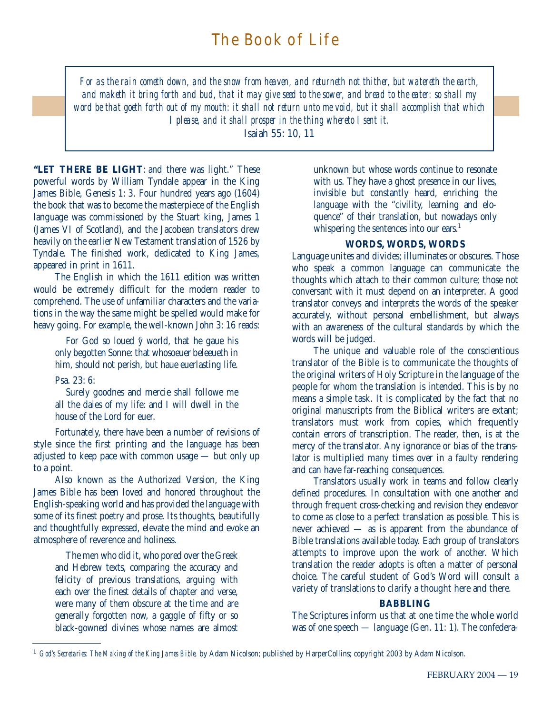*For as the rain cometh down, and the snow from heaven, and returneth not thither, but watereth the earth, and maketh it bring forth and bud, that it may give seed to the sower, and bread to the eater: so shall my word be that goeth forth out of my mouth: it shall not return unto me void, but it shall accomplish that which I please, and it shall prosper in the thing whereto I sent it.*

Isaiah 55: 10, 11

**"LET THERE BE LIGHT**: and there was light." These powerful words by William Tyndale appear in the King James Bible, Genesis 1: 3. Four hundred years ago (1604) the book that was to become the masterpiece of the English language was commissioned by the Stuart king, James 1 (James VI of Scotland), and the Jacobean translators drew heavily on the earlier New Testament translation of 1526 by Tyndale. The finished work, dedicated to King James, appeared in print in 1611.

The English in which the 1611 edition was written would be extremely difficult for the modern reader to comprehend. The use of unfamiliar characters and the variations in the way the same might be spelled would make for heavy going. For example, the well-known John 3: 16 reads:

For God so loued  $\hat{y}$  world, that he gaue his only begotten Sonne: that whosoeuer beleeueth in him, should not perish, but haue euerlasting life.

Psa. 23: 6:

Surely goodnes and mercie shall followe me all the daies of my life: and I will dwell in the house of the Lord for euer.

Fortunately, there have been a number of revisions of style since the first printing and the language has been adjusted to keep pace with common usage — but only up to a point.

Also known as the Authorized Version, the King James Bible has been loved and honored throughout the English-speaking world and has provided the language with some of its finest poetry and prose. Its thoughts, beautifully and thoughtfully expressed, elevate the mind and evoke an atmosphere of reverence and holiness.

The men who did it, who pored over the Greek and Hebrew texts, comparing the accuracy and felicity of previous translations, arguing with each over the finest details of chapter and verse, were many of them obscure at the time and are generally forgotten now, a gaggle of fifty or so black-gowned divines whose names are almost

unknown but whose words continue to resonate with us. They have a ghost presence in our lives, invisible but constantly heard, enriching the language with the "civility, learning and eloquence" of their translation, but nowadays only whispering the sentences into our ears.<sup>1</sup>

## **WORDS, WORDS, WORDS**

Language unites and divides; illuminates or obscures. Those who speak a common language can communicate the thoughts which attach to their common culture; those not conversant with it must depend on an interpreter. A good translator conveys and interprets the words of the speaker accurately, without personal embellishment, but always with an awareness of the cultural standards by which the words will be judged.

The unique and valuable role of the conscientious translator of the Bible is to communicate the thoughts of the original writers of Holy Scripture in the language of the people for whom the translation is intended. This is by no means a simple task. It is complicated by the fact that no original manuscripts from the Biblical writers are extant; translators must work from copies, which frequently contain errors of transcription. The reader, then, is at the mercy of the translator. Any ignorance or bias of the translator is multiplied many times over in a faulty rendering and can have far-reaching consequences.

Translators usually work in teams and follow clearly defined procedures. In consultation with one another and through frequent cross-checking and revision they endeavor to come as close to a perfect translation as possible. This is never achieved — as is apparent from the abundance of Bible translations available today. Each group of translators attempts to improve upon the work of another. Which translation the reader adopts is often a matter of personal choice. The careful student of God's Word will consult a variety of translations to clarify a thought here and there.

## **BABBLING**

The Scriptures inform us that at one time the whole world was of one speech — language (Gen. 11: 1). The confedera-

<sup>&</sup>lt;sup>1</sup> *God's Secretaries: The Making of the King James Bible,* by Adam Nicolson; published by HarperCollins; copyright 2003 by Adam Nicolson.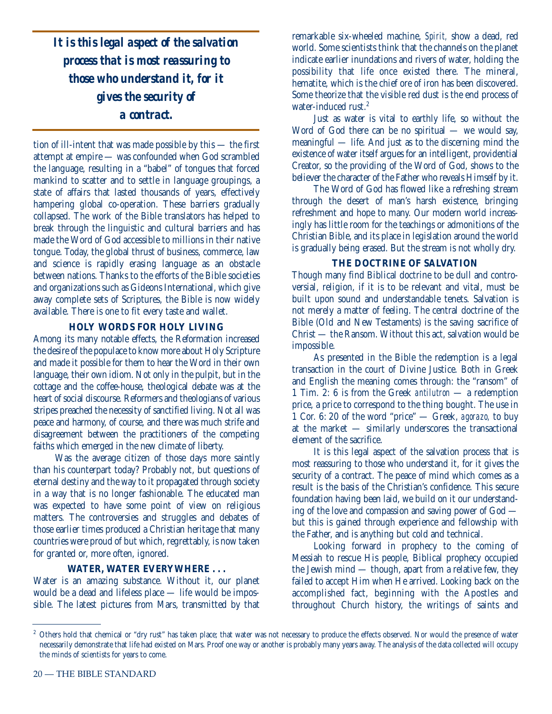*It is this legal aspect of the salvation process that is most reassuring to those who understand it, for it gives the security of a contract.* 

tion of ill-intent that was made possible by this — the first attempt at empire — was confounded when God scrambled the language, resulting in a "babel" of tongues that forced mankind to scatter and to settle in language groupings, a state of affairs that lasted thousands of years, effectively hampering global co-operation. These barriers gradually collapsed. The work of the Bible translators has helped to break through the linguistic and cultural barriers and has made the Word of God accessible to millions in their native tongue. Today, the global thrust of business, commerce, law and science is rapidly erasing language as an obstacle between nations. Thanks to the efforts of the Bible societies and organizations such as Gideons International, which give away complete sets of Scriptures, the Bible is now widely available. There is one to fit every taste and wallet.

## **HOLY WORDS FOR HOLY LIVING**

Among its many notable effects, the Reformation increased the desire of the populace to know more about Holy Scripture and made it possible for them to hear the Word in their own language, their own idiom. Not only in the pulpit, but in the cottage and the coffee-house, theological debate was at the heart of social discourse. Reformers and theologians of various stripes preached the necessity of sanctified living. Not all was peace and harmony, of course, and there was much strife and disagreement between the practitioners of the competing faiths which emerged in the new climate of liberty.

Was the average citizen of those days more saintly than his counterpart today? Probably not, but questions of eternal destiny and the way to it propagated through society in a way that is no longer fashionable. The educated man was expected to have some point of view on religious matters. The controversies and struggles and debates of those earlier times produced a Christian heritage that many countries were proud of but which, regrettably, is now taken for granted or, more often, ignored.

## **WATER, WATER EVERYWHERE . . .**

Water is an amazing substance. Without it, our planet would be a dead and lifeless place — life would be impossible. The latest pictures from Mars, transmitted by that remarkable six-wheeled machine, *Spirit,* show a dead, red world. Some scientists think that the channels on the planet indicate earlier inundations and rivers of water, holding the possibility that life once existed there. The mineral, hematite, which is the chief ore of iron has been discovered. Some theorize that the visible red dust is the end process of water-induced rust.<sup>2</sup>

Just as water is vital to earthly life, so without the Word of God there can be no spiritual  $-$  we would say, meaningful — life. And just as to the discerning mind the existence of water itself argues for an intelligent, providential Creator, so the providing of the Word of God, shows to the believer the character of the Father who reveals Himself by it.

The Word of God has flowed like a refreshing stream through the desert of man's harsh existence, bringing refreshment and hope to many. Our modern world increasingly has little room for the teachings or admonitions of the Christian Bible, and its place in legislation around the world is gradually being erased. But the stream is not wholly dry.

## **THE DOCTRINE OF SALVATION**

Though many find Biblical doctrine to be dull and controversial, religion, if it is to be relevant and vital, must be built upon sound and understandable tenets. Salvation is not merely a matter of feeling. The central doctrine of the Bible (Old and New Testaments) is the saving sacrifice of Christ — the Ransom. Without this act, salvation would be impossible.

As presented in the Bible the redemption is a legal transaction in the court of Divine Justice. Both in Greek and English the meaning comes through: the "ransom" of 1 Tim. 2: 6 is from the Greek *antilutron* — a redemption price, a price to correspond to the thing bought. The use in 1 Cor. 6: 20 of the word "price" — Greek, *agorazo,* to buy at the market — similarly underscores the transactional element of the sacrifice.

It is this legal aspect of the salvation process that is most reassuring to those who understand it, for it gives the security of a contract. The peace of mind which comes as a result is the basis of the Christian's confidence. This secure foundation having been laid, we build on it our understanding of the love and compassion and saving power of God but this is gained through experience and fellowship with the Father, and is anything but cold and technical.

Looking forward in prophecy to the coming of Messiah to rescue His people, Biblical prophecy occupied the Jewish mind — though, apart from a relative few, they failed to accept Him when He arrived. Looking back on the accomplished fact, beginning with the Apostles and throughout Church history, the writings of saints and

<sup>&</sup>lt;sup>2</sup> Others hold that chemical or "dry rust" has taken place; that water was not necessary to produce the effects observed. Nor would the presence of water necessarily demonstrate that life had existed on Mars. Proof one way or another is probably many years away. The analysis of the data collected will occupy the minds of scientists for years to come.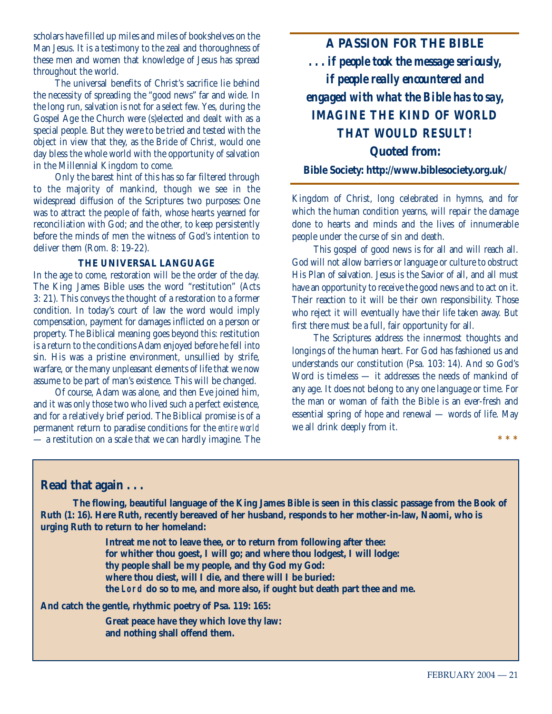scholars have filled up miles and miles of bookshelves on the Man Jesus. It is a testimony to the zeal and thoroughness of these men and women that knowledge of Jesus has spread throughout the world.

The universal benefits of Christ's sacrifice lie behind the necessity of spreading the "good news" far and wide. In the long run, salvation is not for a select few. Yes, during the Gospel Age the Church were (s)elected and dealt with as a special people. But they were to be tried and tested with the object in view that they, as the Bride of Christ, would one day bless the whole world with the opportunity of salvation in the Millennial Kingdom to come.

Only the barest hint of this has so far filtered through to the majority of mankind, though we see in the widespread diffusion of the Scriptures two purposes: One was to attract the people of faith, whose hearts yearned for reconciliation with God; and the other, to keep persistently before the minds of men the witness of God's intention to deliver them (Rom. 8: 19-22).

#### **THE UNIVERSAL LANGUAGE**

In the age to come, restoration will be the order of the day. The King James Bible uses the word "restitution" (Acts 3: 21). This conveys the thought of a restoration to a former condition. In today's court of law the word would imply compensation, payment for damages inflicted on a person or property. The Biblical meaning goes beyond this: restitution is a return to the conditions Adam enjoyed before he fell into sin. His was a pristine environment, unsullied by strife, warfare, or the many unpleasant elements of life that we now assume to be part of man's existence. This will be changed.

Of course, Adam was alone, and then Eve joined him, and it was only those two who lived such a perfect existence, and for a relatively brief period. The Biblical promise is of a permanent return to paradise conditions for the *entire world* — a restitution on a scale that we can hardly imagine. The

**A PASSION FOR THE BIBLE** *... if people took the message seriously, if people really encountered and engaged with what the Bible has to say, IMAGINE THE KIND OF WORLD THAT WOULD RESULT!* **Quoted from:**

**Bible Society: http://www.biblesociety.org.uk/**

Kingdom of Christ, long celebrated in hymns, and for which the human condition yearns, will repair the damage done to hearts and minds and the lives of innumerable people under the curse of sin and death.

This gospel of good news is for all and will reach all. God will not allow barriers or language or culture to obstruct His Plan of salvation. Jesus is the Savior of all, and all must have an opportunity to receive the good news and to act on it. Their reaction to it will be their own responsibility. Those who reject it will eventually have their life taken away. But first there must be a full, fair opportunity for all.

The Scriptures address the innermost thoughts and longings of the human heart. For God has fashioned us and understands our constitution (Psa. 103: 14). And so God's Word is timeless — it addresses the needs of mankind of any age. It does not belong to any one language or time. For the man or woman of faith the Bible is an ever-fresh and essential spring of hope and renewal — words of life. May we all drink deeply from it.

**\*\*\***

## **Read that again . . .**

**The flowing, beautiful language of the King James Bible is seen in this classic passage from the Book of Ruth (1: 16). Here Ruth, recently bereaved of her husband, responds to her mother-in-law, Naomi, who is urging Ruth to return to her homeland:**

> **Intreat me not to leave thee, or to return from following after thee: for whither thou goest, I will go; and where thou lodgest, I will lodge: thy people shall be my people, and thy God my God: where thou diest, will I die, and there will I be buried: the Lord do so to me, and more also, if ought but death part thee and me.**

## **And catch the gentle, rhythmic poetry of Psa. 119: 165:**

**Great peace have they which love thy law: and nothing shall offend them.**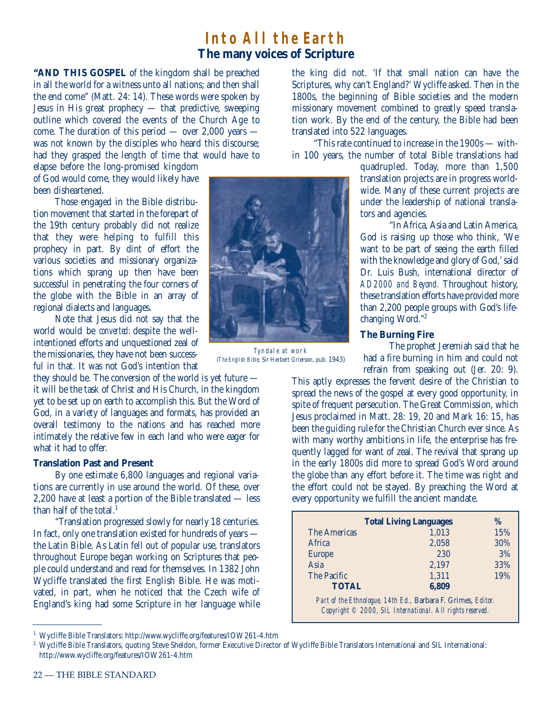# **Into All the Earth The many voices of Scripture**

**"AND THIS GOSPEL** of the kingdom shall be preached in all the world for a witness unto all nations; and then shall the end come" (Matt. 24: 14). These words were spoken by Jesus in His great prophecy — that predictive, sweeping outline which covered the events of the Church Age to come. The duration of this period — over 2,000 years was not known by the disciples who heard this discourse; had they grasped the length of time that would have to

elapse before the long-promised kingdom of God would come, they would likely have been disheartened.

Those engaged in the Bible distribution movement that started in the forepart of the 19th century probably did not realize that they were helping to fulfill this prophecy in part. By dint of effort the various societies and missionary organizations which sprang up then have been successful in penetrating the four corners of the globe with the Bible in an array of regional dialects and languages.

Note that Jesus did not say that the world would be *converted:* despite the wellintentioned efforts and unquestioned zeal of the missionaries, they have not been successful in that. It was not God's intention that

they should be. The conversion of the world is yet future it will be the task of Christ and His Church, in the kingdom yet to be set up on earth to accomplish this. But the Word of God, in a variety of languages and formats, has provided an overall testimony to the nations and has reached more intimately the relative few in each land who were eager for what it had to offer.

## **Translation Past and Present**

By one estimate 6,800 languages and regional variations are currently in use around the world. Of these, over 2,200 have at least a portion of the Bible translated — less than half of the total.<sup>1</sup>

"Translation progressed slowly for nearly 18 centuries. In fact, only one translation existed for hundreds of years the Latin Bible. As Latin fell out of popular use, translators throughout Europe began working on Scriptures that people could understand and read for themselves. In 1382 John Wycliffe translated the first English Bible. He was motivated, in part, when he noticed that the Czech wife of England's king had some Scripture in her language while the king did not. 'If that small nation can have the Scriptures, why can't England?' Wycliffe asked. Then in the 1800s, the beginning of Bible societies and the modern missionary movement combined to greatly speed translation work. By the end of the century, the Bible had been translated into 522 languages.

"This rate continued to increase in the 1900s — within 100 years, the number of total Bible translations had

> quadrupled. Today, more than 1,500 translation projects are in progress worldwide. Many of these current projects are under the leadership of national translators and agencies.

> "In Africa, Asia and Latin America, God is raising up those who think, 'We want to be part of seeing the earth filled with the knowledge and glory of God,' said Dr. Luis Bush, international director of *AD2000 and Beyond.* Throughout history, these translation efforts have provided more than 2,200 people groups with God's lifechanging Word."2

#### **The Burning Fire**

The prophet Jeremiah said that he had a fire burning in him and could not refrain from speaking out (Jer. 20: 9).

This aptly expresses the fervent desire of the Christian to spread the news of the gospel at every good opportunity, in spite of frequent persecution. The Great Commission, which Jesus proclaimed in Matt. 28: 19, 20 and Mark 16: 15, has been the guiding rule for the Christian Church ever since. As with many worthy ambitions in life, the enterprise has frequently lagged for want of zeal. The revival that sprang up in the early 1800s did more to spread God's Word around the globe than any effort before it. The time was right and the effort could not be stayed. By preaching the Word at every opportunity we fulfill the ancient mandate.

|                                                                                                                           | <b>Total Living Languages</b> | $\%$ |
|---------------------------------------------------------------------------------------------------------------------------|-------------------------------|------|
| The Americas                                                                                                              | 1,013                         | 15%  |
| Africa                                                                                                                    | 2,058                         | 30%  |
| <b>Europe</b>                                                                                                             | 230                           | 3%   |
| Asia                                                                                                                      | 2,197                         | 33%  |
| The Pacific                                                                                                               | 1,311                         | 19%  |
| <b>TOTAL</b>                                                                                                              | 6,809                         |      |
| Part of the Ethnologue, 14th Ed., Barbara F. Grimes, Editor.<br>Copyright © 2000, SIL International. All rights reserved. |                               |      |



(*The English Bible,* Sir Herbert Grierson, pub. 1943)

<sup>1.</sup> Wycliffe Bible Translators: http://www.wycliffe.org/features/IOW261-4.htm

<sup>2.</sup> Wycliffe Bible Translators, quoting Steve Sheldon, former Executive Director of Wycliffe Bible Translators International and SIL International: http://www.wycliffe.org/features/IOW261-4.htm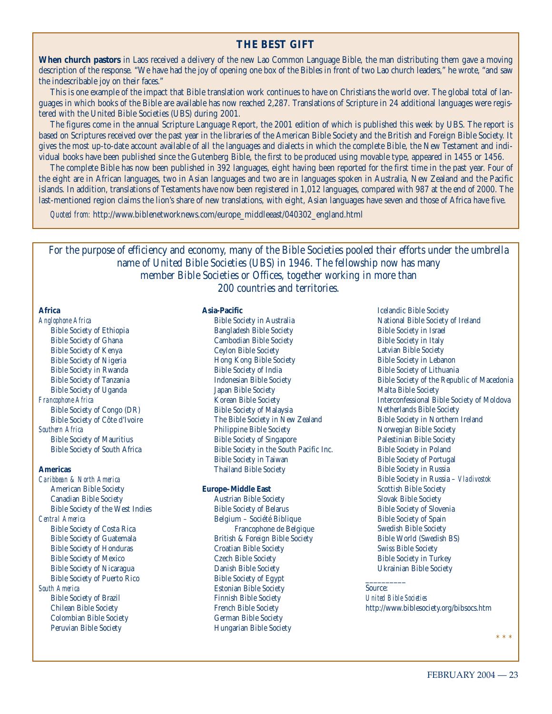## **THE BEST GIFT**

**When church pastors** in Laos received a delivery of the new Lao Common Language Bible, the man distributing them gave a moving description of the response. "We have had the joy of opening one box of the Bibles in front of two Lao church leaders," he wrote, "and saw the indescribable joy on their faces."

This is one example of the impact that Bible translation work continues to have on Christians the world over. The global total of languages in which books of the Bible are available has now reached 2,287. Translations of Scripture in 24 additional languages were registered with the United Bible Societies (UBS) during 2001.

The figures come in the annual Scripture Language Report, the 2001 edition of which is published this week by UBS. The report is based on Scriptures received over the past year in the libraries of the American Bible Society and the British and Foreign Bible Society. It gives the most up-to-date account available of all the languages and dialects in which the complete Bible, the New Testament and individual books have been published since the Gutenberg Bible, the first to be produced using movable type, appeared in 1455 or 1456.

The complete Bible has now been published in 392 languages, eight having been reported for the first time in the past year. Four of the eight are in African languages, two in Asian languages and two are in languages spoken in Australia, New Zealand and the Pacific islands. In addition, translations of Testaments have now been registered in 1,012 languages, compared with 987 at the end of 2000. The last-mentioned region claims the lion's share of new translations, with eight, Asian languages have seven and those of Africa have five.

*Quoted from:* http://www.biblenetworknews.com/europe\_middleeast/040302\_england.html

For the purpose of efficiency and economy, many of the Bible Societies pooled their efforts under the umbrella name of United Bible Societies (UBS) in 1946. The fellowship now has many member Bible Societies or Offices, together working in more than 200 countries and territories.

#### **Africa**

*Anglophone Africa* Bible Society of Ethiopia Bible Society of Ghana Bible Society of Kenya Bible Society of Nigeria Bible Society in Rwanda Bible Society of Tanzania Bible Society of Uganda *Francophone Africa* Bible Society of Congo (DR) Bible Society of Côte d'Ivoire *Southern Africa* Bible Society of Mauritius Bible Society of South Africa

#### **Americas**

*Caribbean & North America* American Bible Society Canadian Bible Society Bible Society of the West Indies *Central America* Bible Society of Costa Rica Bible Society of Guatemala Bible Society of Honduras Bible Society of Mexico Bible Society of Nicaragua Bible Society of Puerto Rico *South America* Bible Society of Brazil Chilean Bible Society Colombian Bible Society Peruvian Bible Society

#### **Asia-Pacific**

Bible Society in Australia Bangladesh Bible Society Cambodian Bible Society Ceylon Bible Society Hong Kong Bible Society Bible Society of India Indonesian Bible Society Japan Bible Society Korean Bible Society Bible Society of Malaysia The Bible Society in New Zealand Philippine Bible Society Bible Society of Singapore Bible Society in the South Pacific Inc. Bible Society in Taiwan Thailand Bible Society

#### **Europe–Middle East**

Austrian Bible Society Bible Society of Belarus Belgium – Société Biblique Francophone de Belgique British & Foreign Bible Society Croatian Bible Society Czech Bible Society Danish Bible Society Bible Society of Egypt Estonian Bible Society Finnish Bible Society French Bible Society German Bible Society Hungarian Bible Society

Icelandic Bible Society National Bible Society of Ireland Bible Society in Israel Bible Society in Italy Latvian Bible Society Bible Society in Lebanon Bible Society of Lithuania Bible Society of the Republic of Macedonia Malta Bible Society Interconfessional Bible Society of Moldova Netherlands Bible Society Bible Society in Northern Ireland Norwegian Bible Society Palestinian Bible Society Bible Society in Poland Bible Society of Portugal Bible Society in Russia Bible Society in Russia – *Vladivostok*  Scottish Bible Society Slovak Bible Society Bible Society of Slovenia Bible Society of Spain Swedish Bible Society Bible World (Swedish BS) Swiss Bible Society Bible Society in Turkey Ukrainian Bible Society

#### $\overline{\phantom{a}}$ Source:

*United Bible Societies* http://www.biblesociety.org/bibsocs.htm

\*\*\*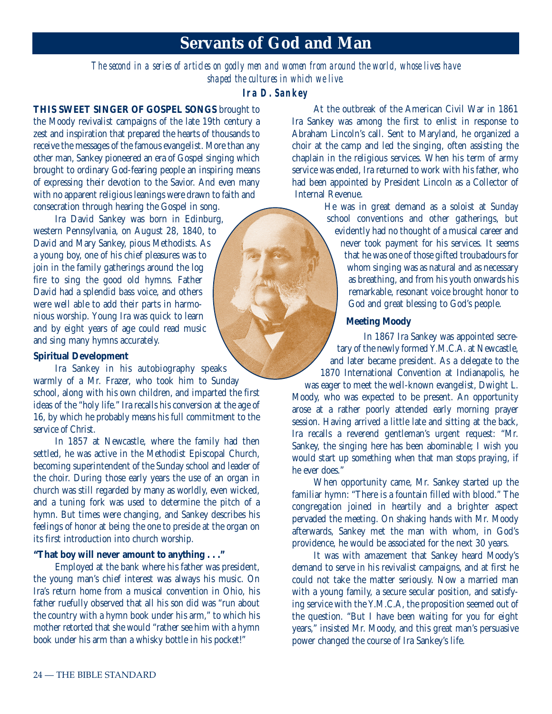# **Servants of God and Man**

*The second in a series of articles on godly men and women from around the world, whose lives have shaped the cultures in which we live.*

## **Ira D. Sankey**

**THIS SWEET SINGER OF GOSPEL SONGS** brought to the Moody revivalist campaigns of the late 19th century a zest and inspiration that prepared the hearts of thousands to receive the messages of the famous evangelist. More than any other man, Sankey pioneered an era of Gospel singing which brought to ordinary God-fearing people an inspiring means of expressing their devotion to the Savior. And even many with no apparent religious leanings were drawn to faith and consecration through hearing the Gospel in song.

Ira David Sankey was born in Edinburg, western Pennsylvania, on August 28, 1840, to David and Mary Sankey, pious Methodists. As a young boy, one of his chief pleasures was to join in the family gatherings around the log fire to sing the good old hymns. Father David had a splendid bass voice, and others were well able to add their parts in harmonious worship. Young Ira was quick to learn and by eight years of age could read music and sing many hymns accurately.

#### **Spiritual Development**

Ira Sankey in his autobiography speaks warmly of a Mr. Frazer, who took him to Sunday school, along with his own children, and imparted the first ideas of the "holy life." Ira recalls his conversion at the age of 16, by which he probably means his full commitment to the service of Christ.

In 1857 at Newcastle, where the family had then settled, he was active in the Methodist Episcopal Church, becoming superintendent of the Sunday school and leader of the choir. During those early years the use of an organ in church was still regarded by many as worldly, even wicked, and a tuning fork was used to determine the pitch of a hymn. But times were changing, and Sankey describes his feelings of honor at being the one to preside at the organ on its first introduction into church worship.

#### **"That boy will never amount to anything . . ."**

Employed at the bank where his father was president, the young man's chief interest was always his music. On Ira's return home from a musical convention in Ohio, his father ruefully observed that all his son did was "run about the country with a hymn book under his arm," to which his mother retorted that she would "rather see him with a hymn book under his arm than a whisky bottle in his pocket!"

At the outbreak of the American Civil War in 1861 Ira Sankey was among the first to enlist in response to Abraham Lincoln's call. Sent to Maryland, he organized a choir at the camp and led the singing, often assisting the chaplain in the religious services. When his term of army service was ended, Ira returned to work with his father, who had been appointed by President Lincoln as a Collector of Internal Revenue.

> He was in great demand as a soloist at Sunday school conventions and other gatherings, but evidently had no thought of a musical career and never took payment for his services. It seems that he was one of those gifted troubadours for whom singing was as natural and as necessary as breathing, and from his youth onwards his remarkable, resonant voice brought honor to God and great blessing to God's people.

## **Meeting Moody**

In 1867 Ira Sankey was appointed secretary of the newly formed Y.M.C.A. at Newcastle, and later became president. As a delegate to the 1870 International Convention at Indianapolis, he

was eager to meet the well-known evangelist, Dwight L. Moody, who was expected to be present. An opportunity arose at a rather poorly attended early morning prayer session. Having arrived a little late and sitting at the back, Ira recalls a reverend gentleman's urgent request: "Mr. Sankey, the singing here has been abominable; I wish you would start up something when that man stops praying, if he ever does."

When opportunity came, Mr. Sankey started up the familiar hymn: "There is a fountain filled with blood." The congregation joined in heartily and a brighter aspect pervaded the meeting. On shaking hands with Mr. Moody afterwards, Sankey met the man with whom, in God's providence, he would be associated for the next 30 years.

It was with amazement that Sankey heard Moody's demand to serve in his revivalist campaigns, and at first he could not take the matter seriously. Now a married man with a young family, a secure secular position, and satisfying service with the Y.M.C.A, the proposition seemed out of the question. "But I have been waiting for you for eight years," insisted Mr. Moody, and this great man's persuasive power changed the course of Ira Sankey's life.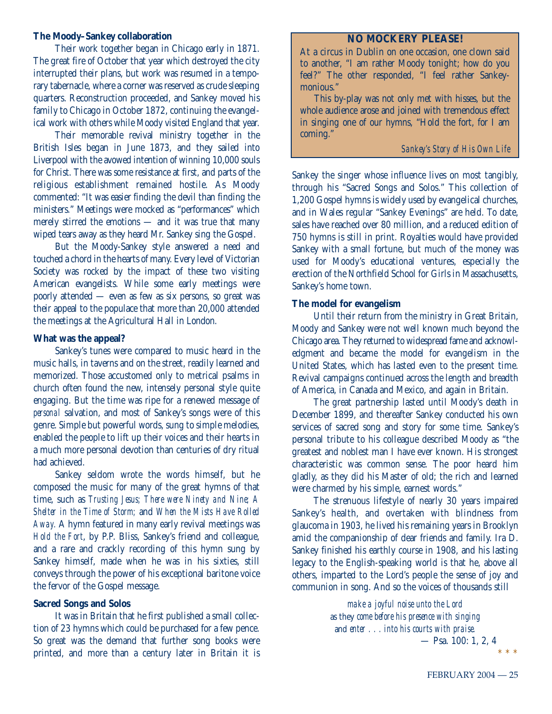#### **The Moody–Sankey collaboration**

Their work together began in Chicago early in 1871. The great fire of October that year which destroyed the city interrupted their plans, but work was resumed in a temporary tabernacle, where a corner was reserved as crude sleeping quarters. Reconstruction proceeded, and Sankey moved his family to Chicago in October 1872, continuing the evangelical work with others while Moody visited England that year.

Their memorable revival ministry together in the British Isles began in June 1873, and they sailed into Liverpool with the avowed intention of winning 10,000 souls for Christ. There was some resistance at first, and parts of the religious establishment remained hostile. As Moody commented: "It was easier finding the devil than finding the ministers." Meetings were mocked as "performances" which merely stirred the emotions — and it was true that many wiped tears away as they heard Mr. Sankey sing the Gospel.

But the Moody-Sankey style answered a need and touched a chord in the hearts of many. Every level of Victorian Society was rocked by the impact of these two visiting American evangelists. While some early meetings were poorly attended — even as few as six persons, so great was their appeal to the populace that more than 20,000 attended the meetings at the Agricultural Hall in London.

## **What was the appeal?**

Sankey's tunes were compared to music heard in the music halls, in taverns and on the street, readily learned and memorized. Those accustomed only to metrical psalms in church often found the new, intensely personal style quite engaging. But the time was ripe for a renewed message of *personal* salvation, and most of Sankey's songs were of this genre. Simple but powerful words, sung to simple melodies, enabled the people to lift up their voices and their hearts in a much more personal devotion than centuries of dry ritual had achieved.

Sankey seldom wrote the words himself, but he composed the music for many of the great hymns of that time, such as *Trusting Jesus; There were Ninety and Nine; A Shelter in the Time of Storm;* and *When the Mists Have Rolled Away.* A hymn featured in many early revival meetings was *Hold the Fort*, by P.P. Bliss, Sankey's friend and colleague, and a rare and crackly recording of this hymn sung by Sankey himself, made when he was in his sixties, still conveys through the power of his exceptional baritone voice the fervor of the Gospel message.

## **Sacred Songs and Solos**

It was in Britain that he first published a small collection of 23 hymns which could be purchased for a few pence. So great was the demand that further song books were printed, and more than a century later in Britain it is

## **NO MOCKERY PLEASE!**

At a circus in Dublin on one occasion, one clown said to another, "I am rather Moody tonight; how do you feel?" The other responded, "I feel rather Sankeymonious."

This by-play was not only met with hisses, but the whole audience arose and joined with tremendous effect in singing one of our hymns, "Hold the fort, for I am coming."

## *Sankey's Story of His Own Life*

Sankey the singer whose influence lives on most tangibly, through his "Sacred Songs and Solos." This collection of 1,200 Gospel hymns is widely used by evangelical churches, and in Wales regular "Sankey Evenings" are held. To date, sales have reached over 80 million, and a reduced edition of 750 hymns is still in print. Royalties would have provided Sankey with a small fortune, but much of the money was used for Moody's educational ventures, especially the erection of the Northfield School for Girls in Massachusetts, Sankey's home town.

## **The model for evangelism**

Until their return from the ministry in Great Britain, Moody and Sankey were not well known much beyond the Chicago area. They returned to widespread fame and acknowledgment and became the model for evangelism in the United States, which has lasted even to the present time. Revival campaigns continued across the length and breadth of America, in Canada and Mexico, and again in Britain.

The great partnership lasted until Moody's death in December 1899, and thereafter Sankey conducted his own services of sacred song and story for some time. Sankey's personal tribute to his colleague described Moody as "the greatest and noblest man I have ever known. His strongest characteristic was common sense. The poor heard him gladly, as they did his Master of old; the rich and learned were charmed by his simple, earnest words."

The strenuous lifestyle of nearly 30 years impaired Sankey's health, and overtaken with blindness from glaucoma in 1903, he lived his remaining years in Brooklyn amid the companionship of dear friends and family. Ira D. Sankey finished his earthly course in 1908, and his lasting legacy to the English-speaking world is that he, above all others, imparted to the Lord's people the sense of joy and communion in song. And so the voices of thousands still

> *make a joyful noise unto the Lord* as they *come before his presence with singing* and *enter . . . into his courts with praise.* — Psa. 100: 1, 2, 4 \*\*\*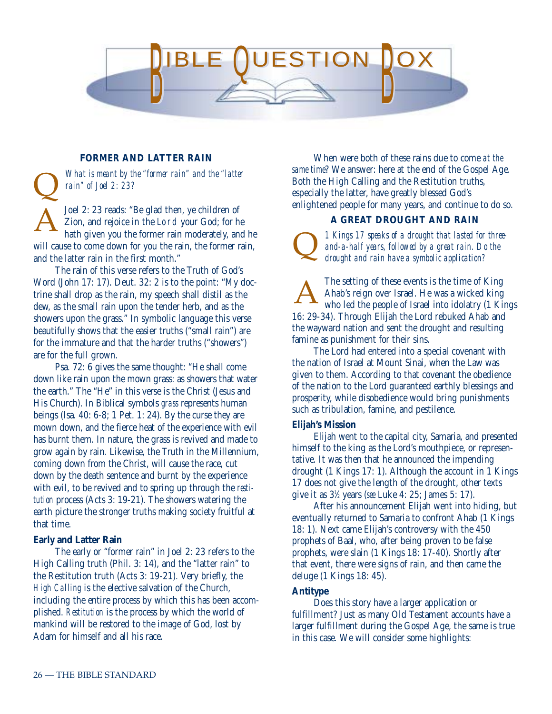

## **FORMER AND LATTER RAIN**

*What is meant by the "former rain" and the "latter rain" of Joel 2: 23?*

Joel 2: 23 reads: "Be glad then, ye children of Zion, and rejoice in the Lord your God; for he hath given you the former rain moderately, and he will cause to come down for you the rain, the former rain, and the latter rain in the first month." Q A

The rain of this verse refers to the Truth of God's Word (John 17: 17). Deut. 32: 2 is to the point: "My doctrine shall drop as the rain, my speech shall distil as the dew, as the small rain upon the tender herb, and as the showers upon the grass." In symbolic language this verse beautifully shows that the easier truths ("small rain") are for the immature and that the harder truths ("showers") are for the full grown.

Psa. 72: 6 gives the same thought: "He shall come down like rain upon the mown grass: as showers that water the earth." The "He" in this verse is the Christ (Jesus and His Church). In Biblical symbols *grass* represents human beings (Isa. 40: 6-8; 1 Pet. 1: 24). By the curse they are mown down, and the fierce heat of the experience with evil has burnt them. In nature, the grass is revived and made to grow again by rain. Likewise, the Truth in the Millennium, coming down from the Christ, will cause the race, cut down by the death sentence and burnt by the experience with evil, to be revived and to spring up through the *restitution* process (Acts 3: 19-21). The showers watering the earth picture the stronger truths making society fruitful at that time.

#### **Early and Latter Rain**

The early or "former rain" in Joel 2: 23 refers to the High Calling truth (Phil. 3: 14), and the "latter rain" to the Restitution truth (Acts 3: 19-21). Very briefly, the *High Calling* is the elective salvation of the Church, including the entire process by which this has been accomplished. *Restitution* is the process by which the world of mankind will be restored to the image of God, lost by Adam for himself and all his race.

When were both of these rains due to come *at the same time*? We answer: here at the end of the Gospel Age. Both the High Calling and the Restitution truths, especially the latter, have greatly blessed God's enlightened people for many years, and continue to do so.

#### **A GREAT DROUGHT AND RAIN**

*1 Kings 17 speaks of a drought that lasted for threeand-a-half years, followed by a great rain. Do the drought and rain have a symbolic application?* Q

The setting of these events is the time of King Ahab's reign over Israel. He was a wicked king who led the people of Israel into idolatry (1 Kings 16: 29-34). Through Elijah the Lord rebuked Ahab and the wayward nation and sent the drought and resulting famine as punishment for their sins. A

The Lord had entered into a special covenant with the nation of Israel at Mount Sinai, when the Law was given to them. According to that covenant the obedience of the nation to the Lord guaranteed earthly blessings and prosperity, while disobedience would bring punishments such as tribulation, famine, and pestilence.

#### **Elijah's Mission**

Elijah went to the capital city, Samaria, and presented himself to the king as the Lord's mouthpiece, or representative. It was then that he announced the impending drought (1 Kings 17: 1). Although the account in 1 Kings 17 does not give the length of the drought, other texts give it as 31 ⁄2 years (*see* Luke 4: 25; James 5: 17).

After his announcement Elijah went into hiding, but eventually returned to Samaria to confront Ahab (1 Kings 18: 1). Next came Elijah's controversy with the 450 prophets of Baal, who, after being proven to be false prophets, were slain (1 Kings 18: 17-40). Shortly after that event, there were signs of rain, and then came the deluge (1 Kings 18: 45).

## **Antitype**

Does this story have a larger application or fulfillment? Just as many Old Testament accounts have a larger fulfillment during the Gospel Age, the same is true in this case. We will consider some highlights: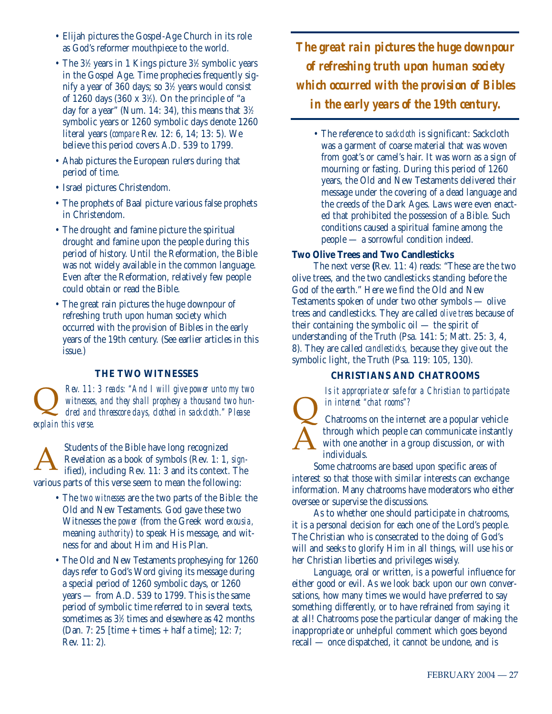- Elijah pictures the Gospel-Age Church in its role as God's reformer mouthpiece to the world.
- The 3<sup>1/2</sup> years in 1 Kings picture 3<sup>1</sup>/2 symbolic years in the Gospel Age. Time prophecies frequently signify a year of 360 days; so 31 ⁄2 years would consist of 1260 days (360 x 31 ⁄2). On the principle of "a day for a year" (Num. 14: 34), this means that  $3\%$ symbolic years or 1260 symbolic days denote 1260 literal years (*compare* Rev. 12: 6, 14; 13: 5). We believe this period covers A.D. 539 to 1799.
- Ahab pictures the European rulers during that period of time.
- Israel pictures Christendom.
- The prophets of Baal picture various false prophets in Christendom.
- The drought and famine picture the spiritual drought and famine upon the people during this period of history. Until the Reformation, the Bible was not widely available in the common language. Even after the Reformation, relatively few people could obtain or read the Bible.
- The great rain pictures the huge downpour of refreshing truth upon human society which occurred with the provision of Bibles in the early years of the 19th century. (See earlier articles in this issue.)

## **THE TWO WITNESSES**

*Rev. 11: 3 reads: "And I will give power unto my two witnesses, and they shall prophesy a thousand two hundred and threescore days, clothed in sackcloth." Please explain this verse.* Rev. 11: 3 reads: "And 1 will give power unto my two<br>witnesses, and they shall prophesy a thousand two hun-<br>dred and threescore days, clothed in sackcloth." Please<br>explain this verse.

Students of the Bible have long recognized Revelation as a book of symbols (Rev. 1: 1, *sign-*Students of the Bible have long recognized<br>
Revelation as a book of symbols (Rev. 1: 1, *sign*-<br>
ified), including Rev. 11: 3 and its context. The various parts of this verse seem to mean the following:

- The *two witnesses* are the two parts of the Bible: the Old and New Testaments. God gave these two Witnesses the *power* (from the Greek word *exousia,* meaning *authority*) to speak His message, and witness for and about Him and His Plan.
- The Old and New Testaments prophesying for 1260 days refer to God's Word giving its message during a special period of 1260 symbolic days, or 1260 years — from A.D. 539 to 1799. This is the same period of symbolic time referred to in several texts, sometimes as  $3\%$  times and elsewhere as  $42$  months (Dan. 7: 25 [time + times + half a time]; 12: 7; Rev. 11: 2).

*The great rain pictures the huge downpour of refreshing truth upon human society which occurred with the provision of Bibles in the early years of the 19th century.*

• The reference to *sackcloth* is significant: Sackcloth was a garment of coarse material that was woven from goat's or camel's hair. It was worn as a sign of mourning or fasting. During this period of 1260 years, the Old and New Testaments delivered their message under the covering of a dead language and the creeds of the Dark Ages. Laws were even enacted that prohibited the possession of a Bible. Such conditions caused a spiritual famine among the people — a sorrowful condition indeed.

## **Two Olive Trees and Two Candlesticks**

The next verse **(**Rev. 11: 4) reads: "These are the two olive trees, and the two candlesticks standing before the God of the earth." Here we find the Old and New Testaments spoken of under two other symbols — olive trees and candlesticks. They are called *olive trees* because of their containing the symbolic oil — the spirit of understanding of the Truth (Psa. 141: 5; Matt. 25: 3, 4, 8). They are called *candlesticks,* because they give out the symbolic light, the Truth (Psa. 119: 105, 130).

## **CHRISTIANS AND CHATROOMS**

*Is it appropriate or safe for a Christian to participate in internet "chat rooms"?*



Chatrooms on the internet are a popular vehicle through which people can communicate instantly with one another in a group discussion, or with individuals.

Some chatrooms are based upon specific areas of interest so that those with similar interests can exchange information. Many chatrooms have moderators who either oversee or supervise the discussions.

As to whether one should participate in chatrooms, it is a personal decision for each one of the Lord's people. The Christian who is consecrated to the doing of God's will and seeks to glorify Him in all things, will use his or her Christian liberties and privileges wisely.

Language, oral or written, is a powerful influence for either good or evil. As we look back upon our own conversations, how many times we would have preferred to say something differently, or to have refrained from saying it at all! Chatrooms pose the particular danger of making the inappropriate or unhelpful comment which goes beyond recall — once dispatched, it cannot be undone, and is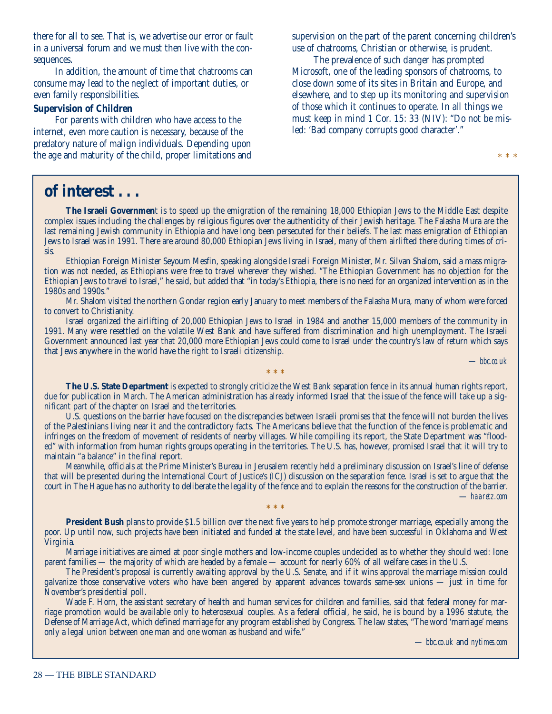there for all to see. That is, we advertise our error or fault in a universal forum and we must then live with the consequences.

In addition, the amount of time that chatrooms can consume may lead to the neglect of important duties, or even family responsibilities.

## **Supervision of Children**

For parents with children who have access to the internet, even more caution is necessary, because of the predatory nature of malign individuals. Depending upon the age and maturity of the child, proper limitations and supervision on the part of the parent concerning children's use of chatrooms, Christian or otherwise, is prudent.

The prevalence of such danger has prompted Microsoft, one of the leading sponsors of chatrooms, to close down some of its sites in Britain and Europe, and elsewhere, and to step up its monitoring and supervision of those which it continues to operate. In all things we must keep in mind 1 Cor. 15: 33 (NIV): "Do not be misled: 'Bad company corrupts good character'."

\* \* \*

# **of interest . . .**

**The Israeli Governmen**t is to speed up the emigration of the remaining 18,000 Ethiopian Jews to the Middle East despite complex issues including the challenges by religious figures over the authenticity of their Jewish heritage. The Falasha Mura are the last remaining Jewish community in Ethiopia and have long been persecuted for their beliefs. The last mass emigration of Ethiopian Jews to Israel was in 1991. There are around 80,000 Ethiopian Jews living in Israel, many of them airlifted there during times of crisis.

Ethiopian Foreign Minister Seyoum Mesfin, speaking alongside Israeli Foreign Minister, Mr. Silvan Shalom, said a mass migration was not needed, as Ethiopians were free to travel wherever they wished. "The Ethiopian Government has no objection for the Ethiopian Jews to travel to Israel," he said, but added that "in today's Ethiopia, there is no need for an organized intervention as in the 1980s and 1990s."

Mr. Shalom visited the northern Gondar region early January to meet members of the Falasha Mura, many of whom were forced to convert to Christianity.

Israel organized the airlifting of 20,000 Ethiopian Jews to Israel in 1984 and another 15,000 members of the community in 1991. Many were resettled on the volatile West Bank and have suffered from discrimination and high unemployment. The Israeli Government announced last year that 20,000 more Ethiopian Jews could come to Israel under the country's law of return which says that Jews anywhere in the world have the right to Israeli citizenship.

— *bbc.co.uk*

**The U.S. State Department** is expected to strongly criticize the West Bank separation fence in its annual human rights report, due for publication in March. The American administration has already informed Israel that the issue of the fence will take up a significant part of the chapter on Israel and the territories.

**\*\*\***

U.S. questions on the barrier have focused on the discrepancies between Israeli promises that the fence will not burden the lives of the Palestinians living near it and the contradictory facts. The Americans believe that the function of the fence is problematic and infringes on the freedom of movement of residents of nearby villages. While compiling its report, the State Department was "flooded" with information from human rights groups operating in the territories. The U.S. has, however, promised Israel that it will try to maintain "a balance" in the final report.

Meanwhile, officials at the Prime Minister's Bureau in Jerusalem recently held a preliminary discussion on Israel's line of defense that will be presented during the International Court of Justice's (ICJ) discussion on the separation fence. Israel is set to argue that the court in The Hague has no authority to deliberate the legality of the fence and to explain the reasons for the construction of the barrier. — *haaretz.com*

**President Bush** plans to provide \$1.5 billion over the next five years to help promote stronger marriage, especially among the poor. Up until now, such projects have been initiated and funded at the state level, and have been successful in Oklahoma and West Virginia.

**\*\*\***

Marriage initiatives are aimed at poor single mothers and low-income couples undecided as to whether they should wed: lone parent families — the majority of which are headed by a female — account for nearly 60% of all welfare cases in the U.S.

The President's proposal is currently awaiting approval by the U.S. Senate, and if it wins approval the marriage mission could galvanize those conservative voters who have been angered by apparent advances towards same-sex unions — just in time for November's presidential poll.

Wade F. Horn, the assistant secretary of health and human services for children and families, said that federal money for marriage promotion would be available only to heterosexual couples. As a federal official, he said, he is bound by a 1996 statute, the Defense of Marriage Act, which defined marriage for any program established by Congress. The law states, "The word 'marriage' means only a legal union between one man and one woman as husband and wife."

— *bbc.co.uk* and *nytimes.com*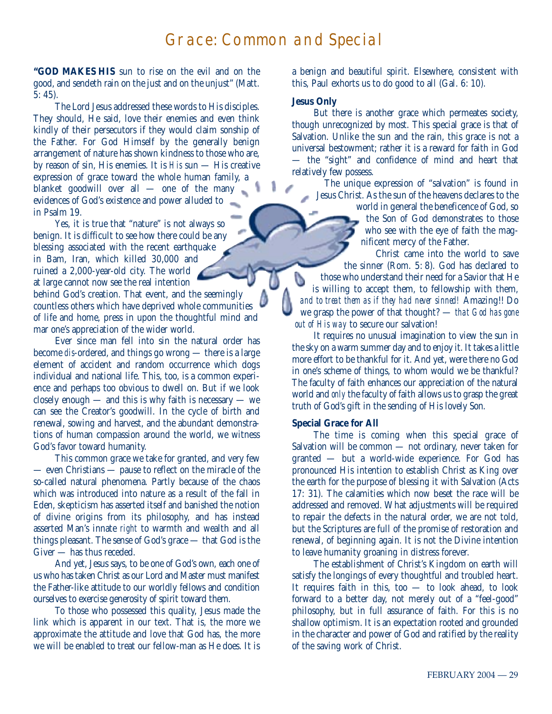# Grace: Common and Special

**"GOD MAKES HIS** sun to rise on the evil and on the good, and sendeth rain on the just and on the unjust" (Matt. 5: 45).

The Lord Jesus addressed these words to His disciples. They should, He said, love their enemies and even think kindly of their persecutors if they would claim sonship of the Father. For God Himself by the generally benign arrangement of nature has shown kindness to those who are, by reason of sin, His enemies. It is *His* sun — His creative expression of grace toward the whole human family, a blanket goodwill over all — one of the many evidences of God's existence and power alluded to in Psalm 19.

Yes, it is true that "nature" is not always so benign. It is difficult to see how there could be any blessing associated with the recent earthquake in Bam, Iran, which killed 30,000 and ruined a 2,000-year-old city. The world at large cannot now see the real intention behind God's creation. That event, and the seemingly countless others which have deprived whole communities of life and home, press in upon the thoughtful mind and mar one's appreciation of the wider world.

Ever since man fell into sin the natural order has become *dis*-ordered, and things go wrong — there is a large element of accident and random occurrence which dogs individual and national life. This, too, is a common experience and perhaps too obvious to dwell on. But if we look closely enough — and this is why faith is necessary — we can see the Creator's goodwill. In the cycle of birth and renewal, sowing and harvest, and the abundant demonstrations of human compassion around the world, we witness God's favor toward humanity.

This common grace we take for granted, and very few — even Christians — pause to reflect on the miracle of the so-called natural phenomena. Partly because of the chaos which was introduced into nature as a result of the fall in Eden, skepticism has asserted itself and banished the notion of divine origins from its philosophy, and has instead asserted Man's innate *right* to warmth and wealth and all things pleasant. The sense of God's grace — that God is the Giver — has thus receded.

And yet, Jesus says, to be one of God's own, each one of us who has taken Christ as our Lord and Master must manifest the Father-like attitude to our worldly fellows and condition ourselves to exercise generosity of spirit toward them.

To those who possessed this quality, Jesus made the link which is apparent in our text. That is, the more we approximate the attitude and love that God has, the more we will be enabled to treat our fellow-man as He does. It is a benign and beautiful spirit. Elsewhere, consistent with this, Paul exhorts us to do good to all (Gal. 6: 10).

## **Jesus Only**

But there is another grace which permeates society, though unrecognized by most. This special grace is that of Salvation. Unlike the sun and the rain, this grace is not a universal bestowment; rather it is a reward for faith in God — the "sight" and confidence of mind and heart that relatively few possess.

The unique expression of "salvation" is found in Jesus Christ. As the sun of the heavens declares to the

world in general the beneficence of God, so the Son of God demonstrates to those who see with the eye of faith the magnificent mercy of the Father.

Christ came into the world to save the sinner (Rom. 5: 8). God has declared to b those who understand their need for a Savior that He is willing to accept them, to fellowship with them, *and to treat them as if they had never sinned!* Amazing!! Do we grasp the power of that thought? — *that God has gone out of His way* to secure our salvation!

It requires no unusual imagination to view the sun in the sky on a warm summer day and to enjoy it. It takes a little more effort to be thankful for it. And yet, were there no God in one's scheme of things, to whom would we be thankful? The faculty of faith enhances our appreciation of the natural world and *only* the faculty of faith allows us to grasp the great truth of God's gift in the sending of His lovely Son.

#### **Special Grace for All**

The time is coming when this special grace of Salvation will be common — not ordinary, never taken for granted — but a world-wide experience. For God has pronounced His intention to establish Christ as King over the earth for the purpose of blessing it with Salvation (Acts 17: 31). The calamities which now beset the race will be addressed and removed. What adjustments will be required to repair the defects in the natural order, we are not told, but the Scriptures are full of the promise of restoration and renewal, of beginning again. It is not the Divine intention to leave humanity groaning in distress forever.

The establishment of Christ's Kingdom on earth will satisfy the longings of every thoughtful and troubled heart. It requires faith in this, too — to look ahead, to look forward to a better day, not merely out of a "feel-good" philosophy, but in full assurance of faith. For this is no shallow optimism. It is an expectation rooted and grounded in the character and power of God and ratified by the reality of the saving work of Christ.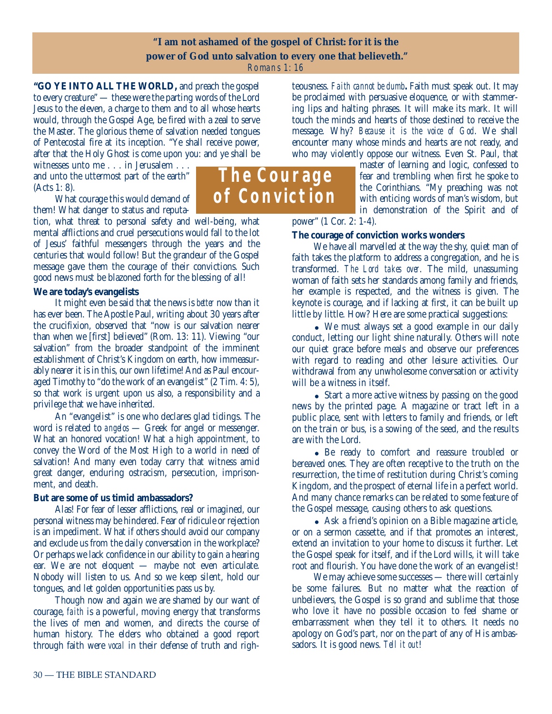## **"I am not ashamed of the gospel of Christ: for it is the power of God unto salvation to every one that believeth."** Romans 1: 16

**"GO YE INTO ALL THE WORLD,** and preach the gospel to every creature" — these were the parting words of the Lord Jesus to the eleven, a charge to them and to all whose hearts would, through the Gospel Age, be fired with a zeal to serve the Master. The glorious theme of salvation needed tongues of Pentecostal fire at its inception. "Ye shall receive power, after that the Holy Ghost is come upon you: and ye shall be

witnesses unto me . . . in Jerusalem . . . and unto the uttermost part of the earth" (Acts 1: 8).

What courage this would demand of them! What danger to status and reputa-

tion, what threat to personal safety and well-being, what mental afflictions and cruel persecutions would fall to the lot of Jesus' faithful messengers through the years and the centuries that would follow! But the grandeur of the Gospel message gave them the courage of their convictions. Such good news must be blazoned forth for the blessing of all!

## **We are today's evangelists**

It might even be said that the news is *better* now than it has ever been. The Apostle Paul, writing about 30 years after the crucifixion, observed that "now is our salvation nearer than when we [first] believed" (Rom. 13: 11). Viewing "our salvation" from the broader standpoint of the imminent establishment of Christ's Kingdom on earth, how immeasurably nearer it is in this, our own lifetime! And as Paul encouraged Timothy to "do the work of an evangelist" (2 Tim. 4: 5), so that work is urgent upon us also, a responsibility and a privilege that we have inherited.

An "evangelist" is one who declares glad tidings. The word is related to *angelos* — Greek for angel or messenger. What an honored vocation! What a high appointment, to convey the Word of the Most High to a world in need of salvation! And many even today carry that witness amid great danger, enduring ostracism, persecution, imprisonment, and death.

## **But are some of us timid ambassadors?**

Alas! For fear of lesser afflictions, real or imagined, our personal witness may be hindered. Fear of ridicule or rejection is an impediment. What if others should avoid our company and exclude us from the daily conversation in the workplace? Or perhaps we lack confidence in our ability to gain a hearing ear. We are not eloquent — maybe not even articulate. Nobody will listen to us. And so we keep silent, hold our tongues, and let golden opportunities pass us by.

Though now and again we are shamed by our want of courage, *faith* is a powerful, moving energy that transforms the lives of men and women, and directs the course of human history. The elders who obtained a good report through faith were *vocal* in their defense of truth and righteousness. *Faith cannot be dumb***.** Faith must speak out. It may be proclaimed with persuasive eloquence, or with stammering lips and halting phrases. It will make its mark. It will touch the minds and hearts of those destined to receive the message. Why? *Because it is the voice of God*. We shall encounter many whose minds and hearts are not ready, and who may violently oppose our witness. Even St. Paul, that

master of learning and logic, confessed to fear and trembling when first he spoke to the Corinthians. "My preaching was not with enticing words of man's wisdom, but in demonstration of the Spirit and of

power" (1 Cor. 2: 1-4).

## **The courage of conviction works wonders**

We have all marvelled at the way the shy, quiet man of faith takes the platform to address a congregation, and he is transformed. *The Lord takes over*. The mild, unassuming woman of faith sets her standards among family and friends, her example is respected, and the witness is given. The keynote is courage, and if lacking at first, it can be built up little by little. How? Here are some practical suggestions:

 We must always set a good example in our daily conduct, letting our light shine naturally. Others will note our quiet grace before meals and observe our preferences with regard to reading and other leisure activities. Our withdrawal from any unwholesome conversation or activity will be a witness in itself.

• Start a more active witness by passing on the good news by the printed page. A magazine or tract left in a public place, sent with letters to family and friends, or left on the train or bus, is a sowing of the seed, and the results are with the Lord.

 Be ready to comfort and reassure troubled or bereaved ones. They are often receptive to the truth on the resurrection, the time of restitution during Christ's coming Kingdom, and the prospect of eternal life in a perfect world. And many chance remarks can be related to some feature of the Gospel message, causing others to ask questions.

 Ask a friend's opinion on a Bible magazine article, or on a sermon cassette, and if that promotes an interest, extend an invitation to your home to discuss it further. Let the Gospel speak for itself, and if the Lord wills, it will take root and flourish. You have done the work of an evangelist!

We may achieve some successes — there will certainly be some failures. But no matter what the reaction of unbelievers, the Gospel is so grand and sublime that those who love it have no possible occasion to feel shame or embarrassment when they tell it to others. It needs no apology on God's part, nor on the part of any of His ambassadors. It is good news. *Tell it out*!

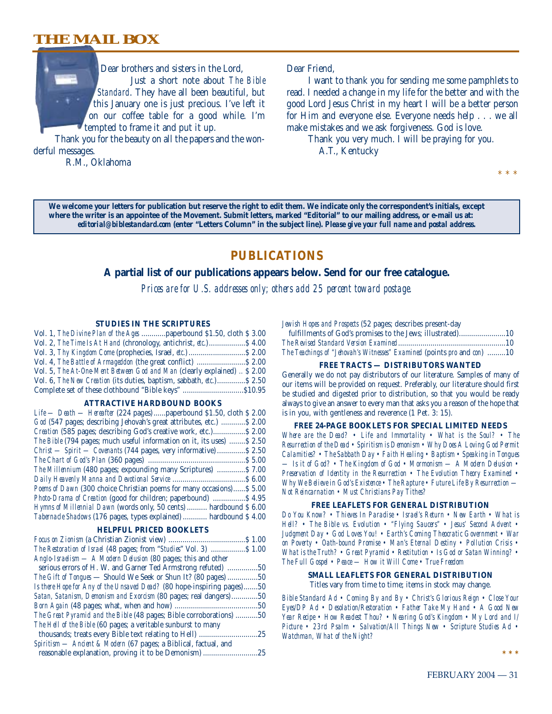## **THE MAIL BOX**



Thank you for the beauty on all the papers and the wonderful messages.

R.M., Oklahoma

#### Dear Friend,

I want to thank you for sending me some pamphlets to read. I needed a change in my life for the better and with the good Lord Jesus Christ in my heart I will be a better person for Him and everyone else. Everyone needs help . . . we all make mistakes and we ask forgiveness. God is love.

Thank you very much. I will be praying for you. A.T., Kentucky

**We welcome your letters for publication but reserve the right to edit them. We indicate only the correspondent's initials, except where the writer is an appointee of the Movement. Submit letters, marked "Editorial" to our mailing address, or e-mail us at:** *editorial@biblestandard.com* **(enter "Letters Column" in the subject line).** *Please give your full name and postal address.*

## **PUBLICATIONS**

## **A partial list of our publications appears below. Send for our free catalogue.**

*Prices are for U.S. addresses only; others add 25 percent toward postage.*

#### **STUDIES IN THE SCRIPTURES**

| Vol. 1, The Divine Plan of the Ages  paperbound \$1.50, cloth \$3.00                 |  |
|--------------------------------------------------------------------------------------|--|
| Vol. 2, The Time Is At Hand (chronology, antichrist, etc.) \$4.00                    |  |
|                                                                                      |  |
| Vol. 4, The Battle of Armageddon (the great conflict)  \$ 2.00                       |  |
| Vol. 5, The At-One-Ment Between God and Man (clearly explained)  \$ 2.00             |  |
| Vol. 6, <i>The New Creation</i> (its duties, baptism, sabbath, <i>etc.</i> ) \$ 2.50 |  |
| Complete set of these clothbound "Bible keys" \$10.95                                |  |

#### **ATTRACTIVE HARDBOUND BOOKS**

| $Life$ — Death — Hereafter (224 pages)  paperbound \$1.50, cloth \$2.00 |
|-------------------------------------------------------------------------|
| God (547 pages; describing Jehovah's great attributes, etc.)  \$2.00    |
| Creation (585 pages; describing God's creative work, etc.) \$2.00       |
| The Bible (794 pages; much useful information on it, its uses)  \$2.50  |
| Christ — Spirit — Covenants (744 pages, very informative)  \$2.50       |
|                                                                         |
| The Millennium (480 pages; expounding many Scriptures)  \$7.00          |
|                                                                         |
| Poems of Dawn (300 choice Christian poems for many occasions) \$5.00    |
| <i>Photo-Drama of Creation</i> (good for children; paperbound)  \$4.95  |
| Hymns of Millennial Dawn (words only, 50 cents)  hardbound \$ 6.00      |
| Tabernacle Shadows (176 pages, types explained)  hardbound \$4.00       |
|                                                                         |

#### **HELPFUL PRICED BOOKLETS**

| Anglo-Israelism — A Modern Delusion (80 pages; this and other          |     |
|------------------------------------------------------------------------|-----|
| serious errors of H. W. and Garner Ted Armstrong refuted) 50           |     |
| <i>The Gift of Tongues</i> — Should We Seek or Shun It? (80 pages) 50  |     |
| Is there Hope for Any of the Unsaved Dead? (80 hope-inspiring pages)50 |     |
| Satan, Satanism, Demonism and Exorcism (80 pages; real dangers)        | .50 |
|                                                                        |     |
| The Great Pyramid and the Bible (48 pages; Bible corroborations) 50    |     |
| The Hell of the Bible (60 pages; a veritable sunburst to many          |     |
| thousands; treats every Bible text relating to Hell)                   | .25 |
| Spiritism - Ancient & Modern (67 pages; a Biblical, factual, and       |     |
| reasonable explanation, proving it to be Demonism                      | .25 |

*Jewish Hopes and Prospects* (52 pages; describes present-day

| The Teachings of "Jehovah's Witnesses" Examined (points pro and con) 10 |  |
|-------------------------------------------------------------------------|--|

#### **FREE TRACTS — DISTRIBUTORS WANTED**

Generally we do not pay distributors of our literature. Samples of many of our items will be provided on request. Preferably, our literature should first be studied and digested prior to distribution, so that you would be ready always to give an answer to every man that asks you a reason of the hope that is in you, with gentleness and reverence (1 Pet. 3: 15).

#### **FREE 24-PAGE BOOKLETS FOR SPECIAL LIMITED NEEDS**

*Where are the Dead? • Life and Immortality • What is the Soul? • The Resurrection of the Dead • Spiritism is Demonism • Why Does A Loving God Permit Calamities? • The Sabbath Day • Faith Healing • Baptism • Speaking in Tongues — Is it of God? • The Kingdom of God • Mormonism — A Modern Delusion • Preservation of Identity in the Resurrection • The Evolution Theory Examined • Why We Believe in God's Existence • The Rapture • Future Life By Resurrection — Not Reincarnation • Must Christians Pay Tithes?*

#### **FREE LEAFLETS FOR GENERAL DISTRIBUTION**

*Do You Know? • Thieves In Paradise • Israel's Return • New Earth • What is Hell? • The Bible vs. Evolution • "Flying Saucers" • Jesus' Second Advent • Judgment Day • God Loves You! • Earth's Coming Theocratic Government • War on Poverty • Oath-bound Promise • Man's Eternal Destiny • Pollution Crisis • What is the Truth? • Great Pyramid • Restitution • Is God or Satan Winning? • The Full Gospel • Peace — How it Will Come • True Freedom*

#### **SMALL LEAFLETS FOR GENERAL DISTRIBUTION** Titles vary from time to time; items in stock may change.

*Bible Standard Ad • Coming By and By • Christ's Glorious Reign • Close Your Eyes/DP Ad • Desolation/Restoration • Father Take My Hand • A Good New Year Recipe • How Readest Thou? • Nearing God's Kingdom • My Lord and I/ Picture • 23rd Psalm • Salvation/All Things New • Scripture Studies Ad • Watchman, What of the Night?*

**\*\*\***

\* \* \*